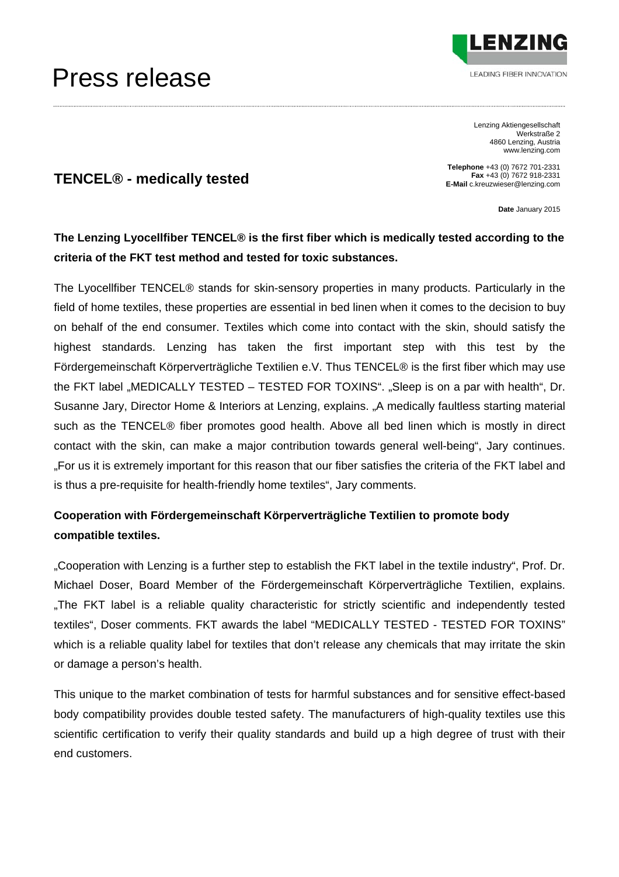## Press release



Lenzing Aktiengesellschaft Werkstraße 2 4860 Lenzing, Austria www.lenzing.com

**TENCEL® - medically tested** 

**Telephone** +43 (0) 7672 701-2331 **Fax** +43 (0) 7672 918-2331 **E-Mail** c.kreuzwieser@lenzing.com

**Date** January 2015

### **The Lenzing Lyocellfiber TENCEL® is the first fiber which is medically tested according to the criteria of the FKT test method and tested for toxic substances.**

The Lyocellfiber TENCEL® stands for skin-sensory properties in many products. Particularly in the field of home textiles, these properties are essential in bed linen when it comes to the decision to buy on behalf of the end consumer. Textiles which come into contact with the skin, should satisfy the highest standards. Lenzing has taken the first important step with this test by the Fördergemeinschaft Körperverträgliche Textilien e.V. Thus TENCEL® is the first fiber which may use the FKT label "MEDICALLY TESTED – TESTED FOR TOXINS". "Sleep is on a par with health", Dr. Susanne Jary, Director Home & Interiors at Lenzing, explains. "A medically faultless starting material such as the TENCEL® fiber promotes good health. Above all bed linen which is mostly in direct contact with the skin, can make a major contribution towards general well-being", Jary continues. "For us it is extremely important for this reason that our fiber satisfies the criteria of the FKT label and is thus a pre-requisite for health-friendly home textiles", Jary comments.

### **Cooperation with Fördergemeinschaft Körperverträgliche Textilien to promote body compatible textiles.**

"Cooperation with Lenzing is a further step to establish the FKT label in the textile industry", Prof. Dr. Michael Doser, Board Member of the Fördergemeinschaft Körperverträgliche Textilien, explains. "The FKT label is a reliable quality characteristic for strictly scientific and independently tested textiles", Doser comments. FKT awards the label "MEDICALLY TESTED - TESTED FOR TOXINS" which is a reliable quality label for textiles that don't release any chemicals that may irritate the skin or damage a person's health.

This unique to the market combination of tests for harmful substances and for sensitive effect-based body compatibility provides double tested safety. The manufacturers of high-quality textiles use this scientific certification to verify their quality standards and build up a high degree of trust with their end customers.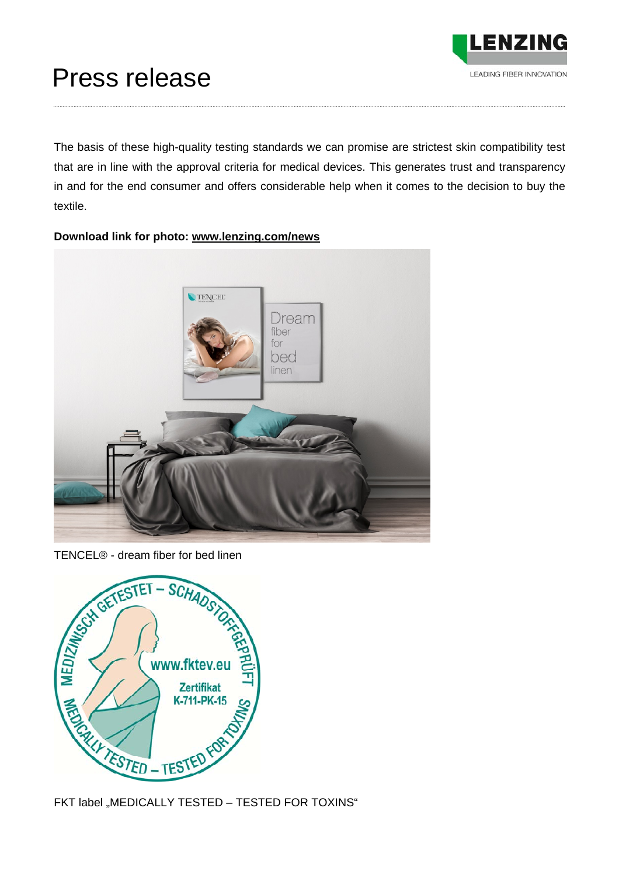

# Press release

The basis of these high-quality testing standards we can promise are strictest skin compatibility test that are in line with the approval criteria for medical devices. This generates trust and transparency in and for the end consumer and offers considerable help when it comes to the decision to buy the textile.



### **Download link for photo: www.lenzing.com/news**

TENCEL® - dream fiber for bed linen